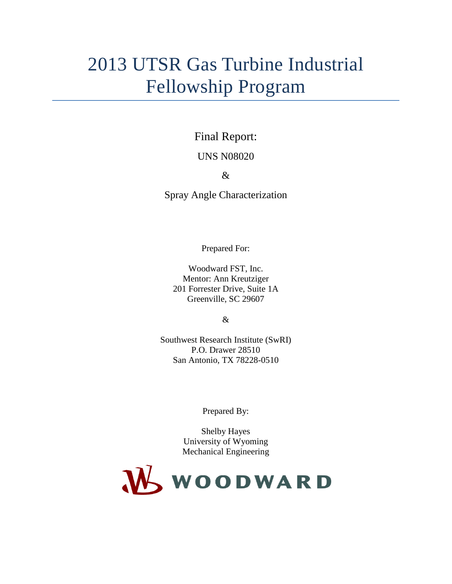### 2013 UTSR Gas Turbine Industrial Fellowship Program

Final Report:

UNS N08020

&

Spray Angle Characterization

Prepared For:

Woodward FST, Inc. Mentor: Ann Kreutziger 201 Forrester Drive, Suite 1A Greenville, SC 29607

&

Southwest Research Institute (SwRI) P.O. Drawer 28510 San Antonio, TX 78228-0510

Prepared By:

Shelby Hayes University of Wyoming Mechanical Engineering

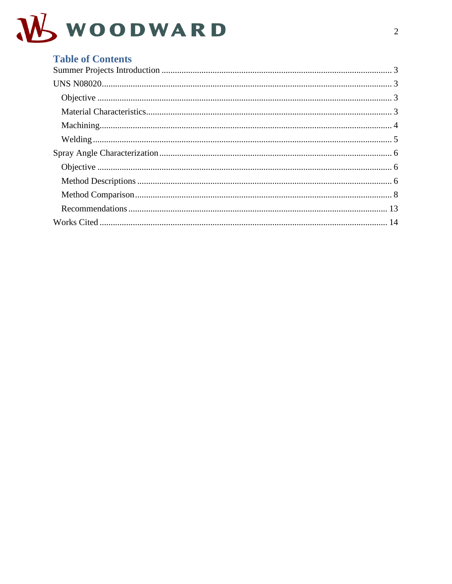

| <b>Table of Contents</b> |  |
|--------------------------|--|
|                          |  |
|                          |  |
|                          |  |
|                          |  |
|                          |  |
|                          |  |
|                          |  |
|                          |  |
|                          |  |
|                          |  |
|                          |  |
|                          |  |
|                          |  |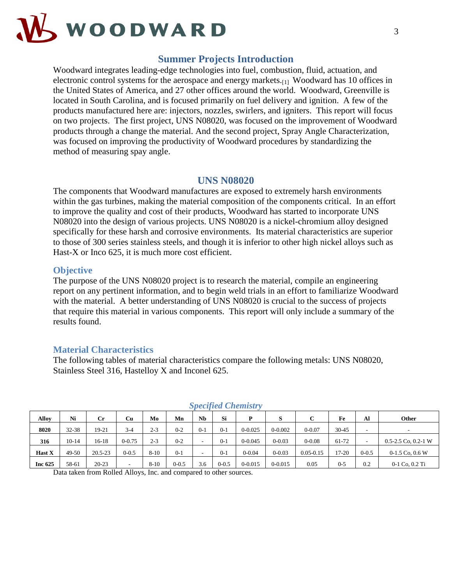

#### **Summer Projects Introduction**

<span id="page-2-0"></span>Woodward integrates leading-edge technologies into fuel, combustion, fluid, actuation, and electronic control systems for the aerospace and energy markets.<sub>[1]</sub> Woodward has 10 offices in the United States of America, and 27 other offices around the world. Woodward, Greenville is located in South Carolina, and is focused primarily on fuel delivery and ignition. A few of the products manufactured here are: injectors, nozzles, swirlers, and igniters. This report will focus on two projects. The first project, UNS N08020, was focused on the improvement of Woodward products through a change the material. And the second project, Spray Angle Characterization, was focused on improving the productivity of Woodward procedures by standardizing the method of measuring spay angle.

#### **UNS N08020**

<span id="page-2-1"></span>The components that Woodward manufactures are exposed to extremely harsh environments within the gas turbines, making the material composition of the components critical. In an effort to improve the quality and cost of their products, Woodward has started to incorporate UNS N08020 into the design of various projects. UNS N08020 is a nickel-chromium alloy designed specifically for these harsh and corrosive environments. Its material characteristics are superior to those of 300 series stainless steels, and though it is inferior to other high nickel alloys such as Hast-X or Inco 625, it is much more cost efficient.

#### <span id="page-2-2"></span>**Objective**

The purpose of the UNS N08020 project is to research the material, compile an engineering report on any pertinent information, and to begin weld trials in an effort to familiarize Woodward with the material. A better understanding of UNS N08020 is crucial to the success of projects that require this material in various components. This report will only include a summary of the results found.

#### <span id="page-2-3"></span>**Material Characteristics**

The following tables of material characteristics compare the following metals: UNS N08020, Stainless Steel 316, Hastelloy X and Inconel 625.

| ----          |         |             |                          |          |           |           |           |             |             |               |           |           |                         |
|---------------|---------|-------------|--------------------------|----------|-----------|-----------|-----------|-------------|-------------|---------------|-----------|-----------|-------------------------|
| Allov         | Ni      | $_{\rm Cr}$ | Cu                       | Mo       | Mn        | <b>Nb</b> | Si        | Þ           |             | C             | Fe        | Al        | <b>Other</b>            |
| 8020          | 32-38   | 19-21       | $3 - 4$                  | $2 - 3$  | $0 - 2$   | $0-1$     | $0-1$     | $0 - 0.025$ | $0 - 0.002$ | $0 - 0.07$    | $30 - 45$ |           |                         |
| 316           | $10-14$ | 16-18       | $0 - 0.75$               | $2 - 3$  | $0 - 2$   |           | $0-1$     | $0 - 0.045$ | $0 - 0.03$  | $0 - 0.08$    | 61-72     |           | $0.5 - 2.5$ Co, 0.2-1 W |
| <b>Hast X</b> | 49-50   | $20.5 - 23$ | $0 - 0.5$                | $8-10$   | $0 - 1$   |           | $0-1$     | $0 - 0.04$  | $0 - 0.03$  | $0.05 - 0.15$ | 17-20     | $0 - 0.5$ | $0-1.5$ Co, 0.6 W       |
| Inc 625       | 58-61   | $20 - 23$   | $\overline{\phantom{a}}$ | $8 - 10$ | $0 - 0.5$ | 3.6       | $0 - 0.5$ | $0 - 0.015$ | $0 - 0.015$ | 0.05          | 0-5       | 0.2       | $0-1$ Co, $0.2$ Ti      |

#### *Specified Chemistry*

Data taken from Rolled Alloys, Inc. and compared to other sources.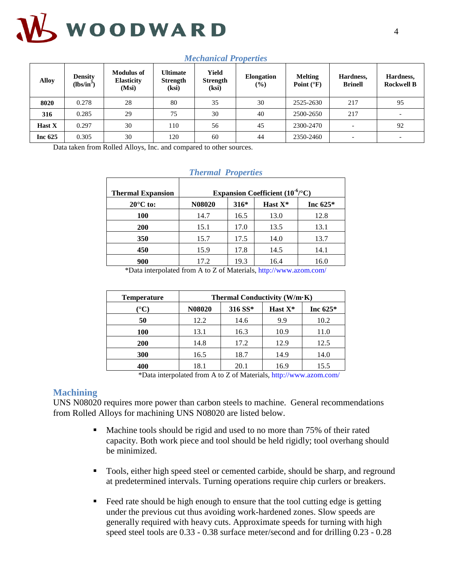

| Alloy         | <b>Density</b><br>$(lbs/in^3)$ | <b>Modulus of</b><br><b>Elasticity</b><br>(Msi) | Ultimate<br><b>Strength</b><br>(ksi) | Yield<br><b>Strength</b><br>(ksi) | Elongation<br>$(\%)$ | <b>Melting</b><br>Point $(^{\circ}F)$ | Hardness,<br><b>Brinell</b> | Hardness,<br><b>Rockwell B</b> |
|---------------|--------------------------------|-------------------------------------------------|--------------------------------------|-----------------------------------|----------------------|---------------------------------------|-----------------------------|--------------------------------|
| 8020          | 0.278                          | 28                                              | 80                                   | 35                                | 30                   | 2525-2630                             | 217                         | 95                             |
| 316           | 0.285                          | 29                                              | 75                                   | 30                                | 40                   | 2500-2650                             | 217                         |                                |
| <b>Hast X</b> | 0.297                          | 30                                              | 110                                  | 56                                | 45                   | 2300-2470                             | $\overline{\phantom{0}}$    | 92                             |
| Inc $625$     | 0.305                          | 30                                              | 120                                  | 60                                | 44                   | 2350-2460                             | $\overline{\phantom{0}}$    |                                |

#### *Mechanical Properties*

Data taken from Rolled Alloys, Inc. and compared to other sources.

| <b>Thermal Expansion</b> | Expansion Coefficient $(10^{-6}/^{\circ}C)$ |        |            |            |  |  |  |
|--------------------------|---------------------------------------------|--------|------------|------------|--|--|--|
| $20^{\circ}$ C to:       | N08020                                      | $316*$ | Hast $X^*$ | Inc $625*$ |  |  |  |
| <b>100</b>               | 14.7                                        | 16.5   | 13.0       | 12.8       |  |  |  |
| <b>200</b>               | 15.1                                        | 17.0   | 13.5       | 13.1       |  |  |  |
| 350                      | 15.7                                        | 17.5   | 14.0       | 13.7       |  |  |  |
| 450                      | 15.9                                        | 17.8   | 14.5       | 14.1       |  |  |  |
| 900                      | 17.2                                        | 19.3   | 16.4       | 16.0       |  |  |  |

#### *Thermal Properties*

\*Data interpolated from A to Z of Materials,<http://www.azom.com/>

| <b>Temperature</b>   | Thermal Conductivity $(W/m \cdot K)$ |         |         |            |  |  |  |
|----------------------|--------------------------------------|---------|---------|------------|--|--|--|
| $^{\circ}\mathrm{C}$ | N08020                               | 316 SS* | Hast X* | Inc $625*$ |  |  |  |
| 50                   | 12.2                                 | 14.6    | 9.9     | 10.2       |  |  |  |
| 100                  | 13.1                                 | 16.3    | 10.9    | 11.0       |  |  |  |
| <b>200</b>           | 14.8                                 | 17.2    | 12.9    | 12.5       |  |  |  |
| 300                  | 16.5                                 | 18.7    | 14.9    | 14.0       |  |  |  |
| 400                  | 18.1                                 | 20.1    | 16.9    | 15.5       |  |  |  |

\*Data interpolated from A to Z of Materials,<http://www.azom.com/>

#### <span id="page-3-0"></span>**Machining**

UNS N08020 requires more power than carbon steels to machine. General recommendations from Rolled Alloys for machining UNS N08020 are listed below.

- Machine tools should be rigid and used to no more than 75% of their rated capacity. Both work piece and tool should be held rigidly; tool overhang should be minimized.
- Tools, either high speed steel or cemented carbide, should be sharp, and reground at predetermined intervals. Turning operations require chip curlers or breakers.
- Feed rate should be high enough to ensure that the tool cutting edge is getting under the previous cut thus avoiding work-hardened zones. Slow speeds are generally required with heavy cuts. Approximate speeds for turning with high speed steel tools are 0.33 - 0.38 surface meter/second and for drilling 0.23 - 0.28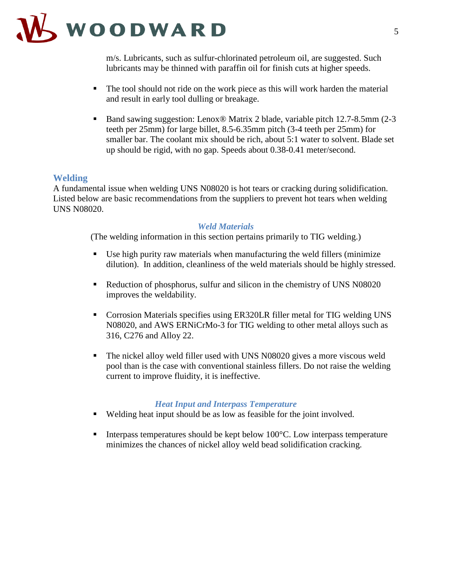

m/s. Lubricants, such as sulfur-chlorinated petroleum oil, are suggested. Such lubricants may be thinned with paraffin oil for finish cuts at higher speeds.

- The tool should not ride on the work piece as this will work harden the material and result in early tool dulling or breakage.
- Band sawing suggestion: Lenox<sup>®</sup> Matrix 2 blade, variable pitch 12.7-8.5mm (2-3 teeth per 25mm) for large billet, 8.5-6.35mm pitch (3-4 teeth per 25mm) for smaller bar. The coolant mix should be rich, about 5:1 water to solvent. Blade set up should be rigid, with no gap. Speeds about 0.38-0.41 meter/second.

#### <span id="page-4-0"></span>**Welding**

A fundamental issue when welding UNS N08020 is hot tears or cracking during solidification. Listed below are basic recommendations from the suppliers to prevent hot tears when welding UNS N08020.

#### *Weld Materials*

(The welding information in this section pertains primarily to TIG welding.)

- Use high purity raw materials when manufacturing the weld fillers (minimize dilution). In addition, cleanliness of the weld materials should be highly stressed.
- Reduction of phosphorus, sulfur and silicon in the chemistry of UNS N08020 improves the weldability.
- Corrosion Materials specifies using ER320LR filler metal for TIG welding UNS N08020, and AWS ERNiCrMo-3 for TIG welding to other metal alloys such as 316, C276 and Alloy 22.
- The nickel alloy weld filler used with UNS N08020 gives a more viscous weld pool than is the case with conventional stainless fillers. Do not raise the welding current to improve fluidity, it is ineffective.

#### *Heat Input and Interpass Temperature*

- Welding heat input should be as low as feasible for the joint involved.
- Interpass temperatures should be kept below  $100^{\circ}$ C. Low interpass temperature minimizes the chances of nickel alloy weld bead solidification cracking.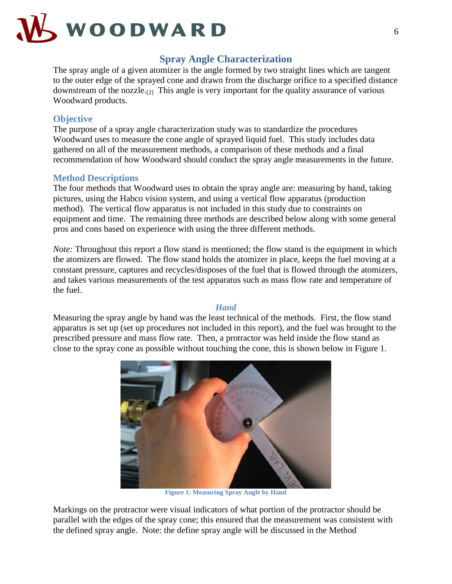

#### **Spray Angle Characterization**

<span id="page-5-0"></span>The spray angle of a given atomizer is the angle formed by two straight lines which are tangent to the outer edge of the sprayed cone and drawn from the discharge orifice to a specified distance downstream of the nozzle.[2] This angle is very important for the quality assurance of various Woodward products.

#### <span id="page-5-1"></span>**Objective**

The purpose of a spray angle characterization study was to standardize the procedures Woodward uses to measure the cone angle of sprayed liquid fuel. This study includes data gathered on all of the measurement methods, a comparison of these methods and a final recommendation of how Woodward should conduct the spray angle measurements in the future.

#### <span id="page-5-2"></span>**Method Descriptions**

The four methods that Woodward uses to obtain the spray angle are: measuring by hand, taking pictures, using the Habco vision system, and using a vertical flow apparatus (production method). The vertical flow apparatus is not included in this study due to constraints on equipment and time. The remaining three methods are described below along with some general pros and cons based on experience with using the three different methods.

*Note:* Throughout this report a flow stand is mentioned; the flow stand is the equipment in which the atomizers are flowed. The flow stand holds the atomizer in place, keeps the fuel moving at a constant pressure, captures and recycles/disposes of the fuel that is flowed through the atomizers, and takes various measurements of the test apparatus such as mass flow rate and temperature of the fuel.

#### *Hand*

Measuring the spray angle by hand was the least technical of the methods. First, the flow stand apparatus is set up (set up procedures not included in this report), and the fuel was brought to the prescribed pressure and mass flow rate. Then, a protractor was held inside the flow stand as close to the spray cone as possible without touching the cone, this is shown below in Figure 1.



**Figure 1: Measuring Spray Angle by Hand**

Markings on the protractor were visual indicators of what portion of the protractor should be parallel with the edges of the spray cone; this ensured that the measurement was consistent with the defined spray angle. Note: the define spray angle will be discussed in the Method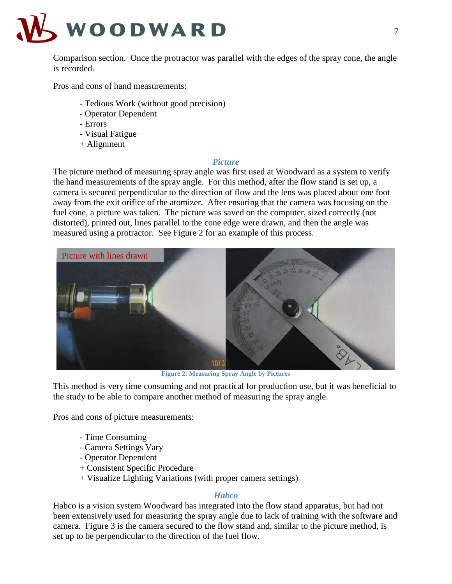

Comparison section. Once the protractor was parallel with the edges of the spray cone, the angle is recorded.

Pros and cons of hand measurements:

- Tedious Work (without good precision)
- Operator Dependent
- Errors
- Visual Fatigue
- + Alignment

#### *Picture*

The picture method of measuring spray angle was first used at Woodward as a system to verify the hand measurements of the spray angle. For this method, after the flow stand is set up, a camera is secured perpendicular to the direction of flow and the lens was placed about one foot away from the exit orifice of the atomizer. After ensuring that the camera was focusing on the fuel cone, a picture was taken. The picture was saved on the computer, sized correctly (not distorted), printed out, lines parallel to the cone edge were drawn, and then the angle was measured using a protractor. See Figure 2 for an example of this process.



**Figure 2: Measuring Spray Angle by Pictures**

This method is very time consuming and not practical for production use, but it was beneficial to the study to be able to compare another method of measuring the spray angle.

Pros and cons of picture measurements:

- Time Consuming
- Camera Settings Vary
- Operator Dependent
- + Consistent Specific Procedure
- + Visualize Lighting Variations (with proper camera settings)

#### *Habco*

Habco is a vision system Woodward has integrated into the flow stand apparatus, but had not been extensively used for measuring the spray angle due to lack of training with the software and camera. Figure 3 is the camera secured to the flow stand and, similar to the picture method, is set up to be perpendicular to the direction of the fuel flow.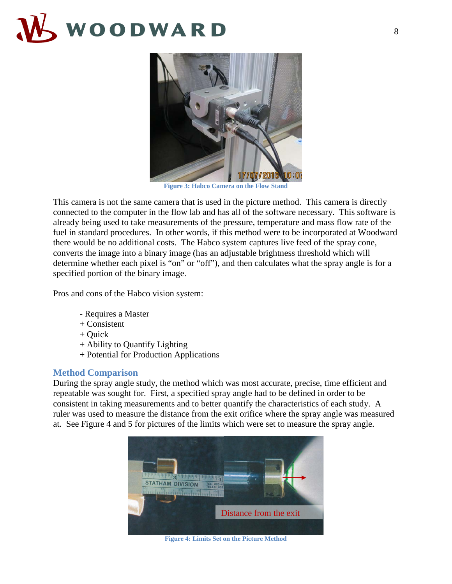

**Figure 3: Habco Camera on the Flow Stand**

This camera is not the same camera that is used in the picture method. This camera is directly connected to the computer in the flow lab and has all of the software necessary. This software is already being used to take measurements of the pressure, temperature and mass flow rate of the fuel in standard procedures. In other words, if this method were to be incorporated at Woodward there would be no additional costs. The Habco system captures live feed of the spray cone, converts the image into a binary image (has an adjustable brightness threshold which will determine whether each pixel is "on" or "off"), and then calculates what the spray angle is for a specified portion of the binary image.

Pros and cons of the Habco vision system:

- Requires a Master
- + Consistent
- + Quick
- + Ability to Quantify Lighting
- + Potential for Production Applications

#### <span id="page-7-0"></span>**Method Comparison**

During the spray angle study, the method which was most accurate, precise, time efficient and repeatable was sought for. First, a specified spray angle had to be defined in order to be consistent in taking measurements and to better quantify the characteristics of each study. A ruler was used to measure the distance from the exit orifice where the spray angle was measured at. See Figure 4 and 5 for pictures of the limits which were set to measure the spray angle.



**Figure 4: Limits Set on the Picture Method**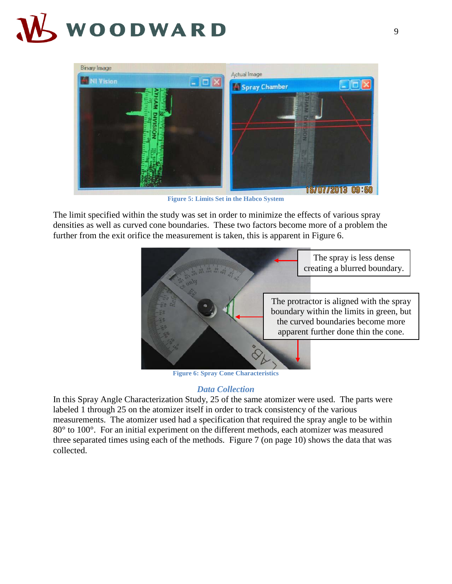

**Figure 5: Limits Set in the Habco System**

The limit specified within the study was set in order to minimize the effects of various spray densities as well as curved cone boundaries. These two factors become more of a problem the further from the exit orifice the measurement is taken, this is apparent in Figure 6.



**Figure 6: Spray Cone Characteristics**

#### *Data Collection*

In this Spray Angle Characterization Study, 25 of the same atomizer were used. The parts were labeled 1 through 25 on the atomizer itself in order to track consistency of the various measurements. The atomizer used had a specification that required the spray angle to be within 80° to 100°. For an initial experiment on the different methods, each atomizer was measured three separated times using each of the methods. Figure 7 (on page 10) shows the data that was collected.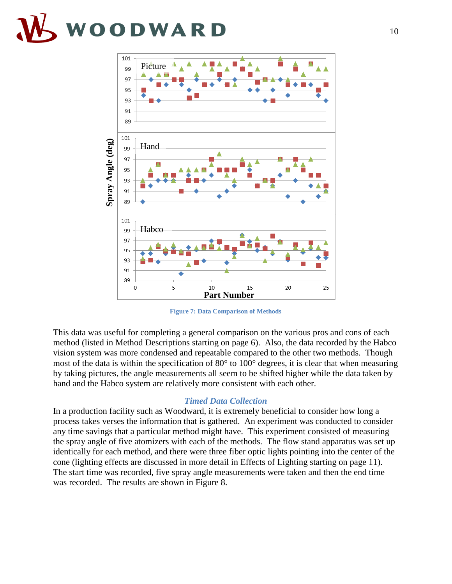

**Figure 7: Data Comparison of Methods**

This data was useful for completing a general comparison on the various pros and cons of each method (listed in Method Descriptions starting on page 6). Also, the data recorded by the Habco vision system was more condensed and repeatable compared to the other two methods. Though most of the data is within the specification of 80° to 100° degrees, it is clear that when measuring by taking pictures, the angle measurements all seem to be shifted higher while the data taken by hand and the Habco system are relatively more consistent with each other.

#### *Timed Data Collection*

In a production facility such as Woodward, it is extremely beneficial to consider how long a process takes verses the information that is gathered. An experiment was conducted to consider any time savings that a particular method might have. This experiment consisted of measuring the spray angle of five atomizers with each of the methods. The flow stand apparatus was set up identically for each method, and there were three fiber optic lights pointing into the center of the cone (lighting effects are discussed in more detail in Effects of Lighting starting on page 11). The start time was recorded, five spray angle measurements were taken and then the end time was recorded. The results are shown in Figure 8.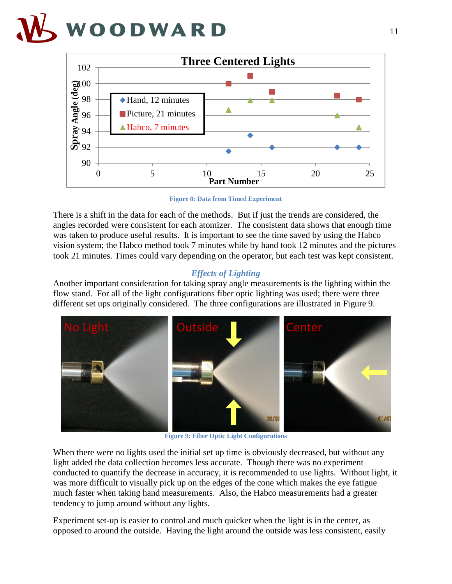

**Figure 8: Data from Timed Experiment**

There is a shift in the data for each of the methods. But if just the trends are considered, the angles recorded were consistent for each atomizer. The consistent data shows that enough time was taken to produce useful results. It is important to see the time saved by using the Habco vision system; the Habco method took 7 minutes while by hand took 12 minutes and the pictures took 21 minutes. Times could vary depending on the operator, but each test was kept consistent.

#### *Effects of Lighting*

Another important consideration for taking spray angle measurements is the lighting within the flow stand. For all of the light configurations fiber optic lighting was used; there were three different set ups originally considered. The three configurations are illustrated in Figure 9.



**Figure 9: Fiber Optic Light Configurations**

When there were no lights used the initial set up time is obviously decreased, but without any light added the data collection becomes less accurate. Though there was no experiment conducted to quantify the decrease in accuracy, it is recommended to use lights. Without light, it was more difficult to visually pick up on the edges of the cone which makes the eye fatigue much faster when taking hand measurements. Also, the Habco measurements had a greater tendency to jump around without any lights.

Experiment set-up is easier to control and much quicker when the light is in the center, as opposed to around the outside. Having the light around the outside was less consistent, easily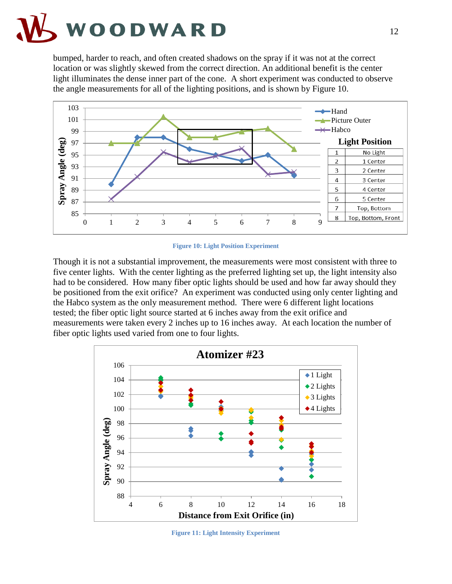

bumped, harder to reach, and often created shadows on the spray if it was not at the correct location or was slightly skewed from the correct direction. An additional benefit is the center light illuminates the dense inner part of the cone. A short experiment was conducted to observe the angle measurements for all of the lighting positions, and is shown by Figure 10.



**Figure 10: Light Position Experiment**

Though it is not a substantial improvement, the measurements were most consistent with three to five center lights. With the center lighting as the preferred lighting set up, the light intensity also had to be considered. How many fiber optic lights should be used and how far away should they be positioned from the exit orifice? An experiment was conducted using only center lighting and the Habco system as the only measurement method. There were 6 different light locations tested; the fiber optic light source started at 6 inches away from the exit orifice and measurements were taken every 2 inches up to 16 inches away. At each location the number of fiber optic lights used varied from one to four lights.



**Figure 11: Light Intensity Experiment**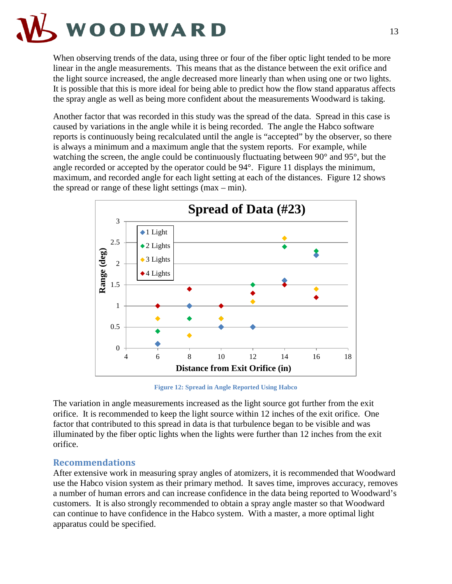

When observing trends of the data, using three or four of the fiber optic light tended to be more linear in the angle measurements. This means that as the distance between the exit orifice and the light source increased, the angle decreased more linearly than when using one or two lights. It is possible that this is more ideal for being able to predict how the flow stand apparatus affects the spray angle as well as being more confident about the measurements Woodward is taking.

Another factor that was recorded in this study was the spread of the data. Spread in this case is caused by variations in the angle while it is being recorded. The angle the Habco software reports is continuously being recalculated until the angle is "accepted" by the observer, so there is always a minimum and a maximum angle that the system reports. For example, while watching the screen, the angle could be continuously fluctuating between 90° and 95°, but the angle recorded or accepted by the operator could be 94°. Figure 11 displays the minimum, maximum, and recorded angle for each light setting at each of the distances. Figure 12 shows the spread or range of these light settings  $(max - min)$ .



**Figure 12: Spread in Angle Reported Using Habco**

The variation in angle measurements increased as the light source got further from the exit orifice. It is recommended to keep the light source within 12 inches of the exit orifice. One factor that contributed to this spread in data is that turbulence began to be visible and was illuminated by the fiber optic lights when the lights were further than 12 inches from the exit orifice.

#### <span id="page-12-0"></span>**Recommendations**

After extensive work in measuring spray angles of atomizers, it is recommended that Woodward use the Habco vision system as their primary method. It saves time, improves accuracy, removes a number of human errors and can increase confidence in the data being reported to Woodward's customers. It is also strongly recommended to obtain a spray angle master so that Woodward can continue to have confidence in the Habco system. With a master, a more optimal light apparatus could be specified.